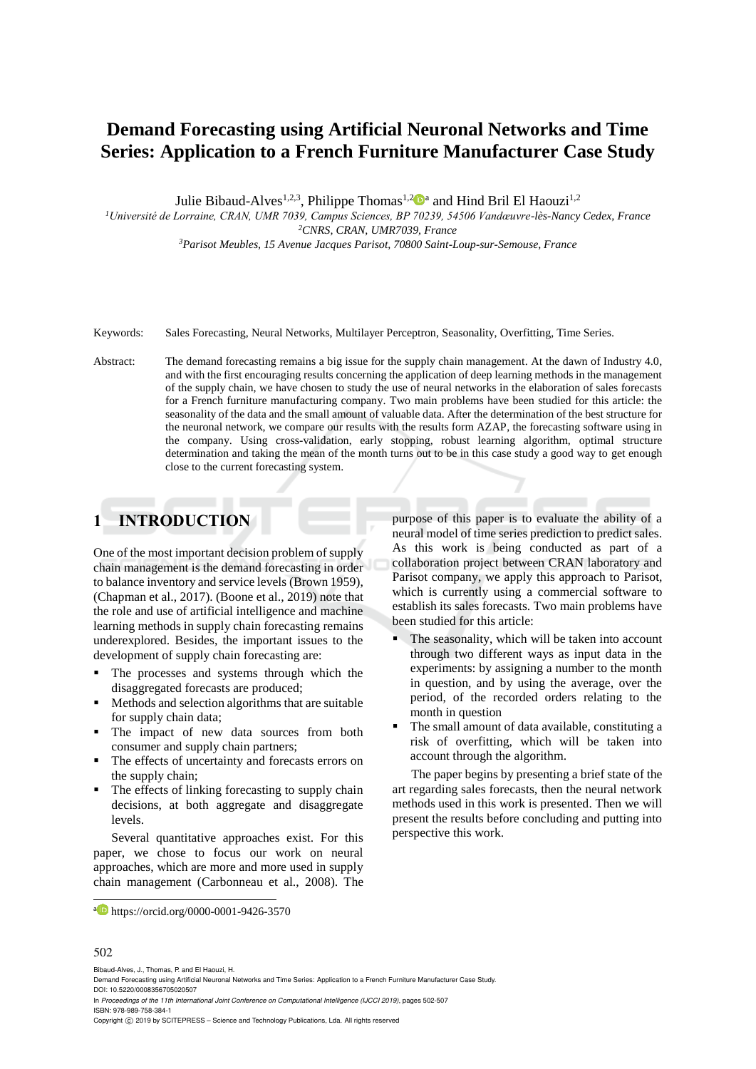# **Demand Forecasting using Artificial Neuronal Networks and Time Series: Application to a French Furniture Manufacturer Case Study**

Julie Bibaud-Alves<sup>1,2,3</sup>, Philippe Thomas<sup>1,2</sup><sup>D</sup><sup>a</sup> and Hind Bril El Haouzi<sup>1,2</sup>

*<sup>1</sup>Université de Lorraine, CRAN, UMR 7039, Campus Sciences, BP 70239, 54506 Vandœuvre-lès-Nancy Cedex, France <sup>2</sup>CNRS, CRAN, UMR7039, France*

*<sup>3</sup>Parisot Meubles, 15 Avenue Jacques Parisot, 70800 Saint-Loup-sur-Semouse, France*

- Keywords: Sales Forecasting, Neural Networks, Multilayer Perceptron, Seasonality, Overfitting, Time Series.
- Abstract: The demand forecasting remains a big issue for the supply chain management. At the dawn of Industry 4.0, and with the first encouraging results concerning the application of deep learning methods in the management of the supply chain, we have chosen to study the use of neural networks in the elaboration of sales forecasts for a French furniture manufacturing company. Two main problems have been studied for this article: the seasonality of the data and the small amount of valuable data. After the determination of the best structure for the neuronal network, we compare our results with the results form AZAP, the forecasting software using in the company. Using cross-validation, early stopping, robust learning algorithm, optimal structure determination and taking the mean of the month turns out to be in this case study a good way to get enough close to the current forecasting system.

# **1 INTRODUCTION**

One of the most important decision problem of supply chain management is the demand forecasting in order to balance inventory and service levels (Brown 1959), (Chapman et al., 2017). (Boone et al., 2019) note that the role and use of artificial intelligence and machine learning methods in supply chain forecasting remains underexplored. Besides, the important issues to the development of supply chain forecasting are:

- The processes and systems through which the disaggregated forecasts are produced;
- Methods and selection algorithms that are suitable for supply chain data;
- The impact of new data sources from both consumer and supply chain partners;
- The effects of uncertainty and forecasts errors on the supply chain;
- The effects of linking forecasting to supply chain decisions, at both aggregate and disaggregate levels.

Several quantitative approaches exist. For this paper, we chose to focus our work on neural approaches, which are more and more used in supply chain management (Carbonneau et al., 2008). The purpose of this paper is to evaluate the ability of a neural model of time series prediction to predict sales. As this work is being conducted as part of a collaboration project between CRAN laboratory and Parisot company, we apply this approach to Parisot, which is currently using a commercial software to establish its sales forecasts. Two main problems have been studied for this article:

- The seasonality, which will be taken into account through two different ways as input data in the experiments: by assigning a number to the month in question, and by using the average, over the period, of the recorded orders relating to the month in question
- The small amount of data available, constituting a risk of overfitting, which will be taken into account through the algorithm.

The paper begins by presenting a brief state of the art regarding sales forecasts, then the neural network methods used in this work is presented. Then we will present the results before concluding and putting into perspective this work.

#### 502

 $\overline{a}$ 

Bibaud-Alves, J., Thomas, P. and El Haouzi, H.

In *Proceedings of the 11th International Joint Conference on Computational Intelligence (IJCCI 2019)*, pages 502-507 ISBN: 978-989-758-384-1

Copyright © 2019 by SCITEPRESS - Science and Technology Publications, Lda. All rights reserved

a https://orcid.org/0000-0001-9426-3570

Demand Forecasting using Artificial Neuronal Networks and Time Series: Application to a French Furniture Manufacturer Case Study. DOI: 10.5220/0008356705020507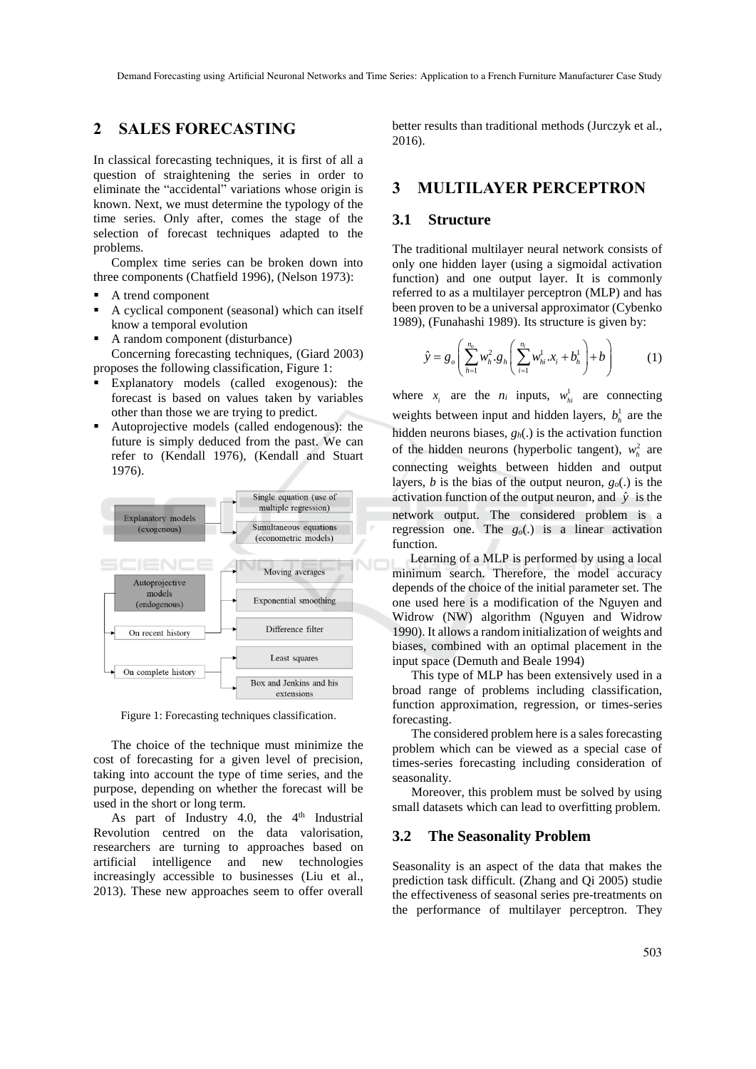## **2 SALES FORECASTING**

In classical forecasting techniques, it is first of all a question of straightening the series in order to eliminate the "accidental" variations whose origin is known. Next, we must determine the typology of the time series. Only after, comes the stage of the selection of forecast techniques adapted to the problems.

Complex time series can be broken down into three components (Chatfield 1996), (Nelson 1973):

- A trend component
- A cyclical component (seasonal) which can itself know a temporal evolution
- A random component (disturbance) Concerning forecasting techniques, (Giard 2003) proposes the following classification, Figure 1:
- Explanatory models (called exogenous): the forecast is based on values taken by variables other than those we are trying to predict.
- Autoprojective models (called endogenous): the future is simply deduced from the past. We can refer to (Kendall 1976), (Kendall and Stuart 1976).



Figure 1: Forecasting techniques classification.

The choice of the technique must minimize the cost of forecasting for a given level of precision, taking into account the type of time series, and the purpose, depending on whether the forecast will be used in the short or long term.

As part of Industry 4.0, the  $4<sup>th</sup>$  Industrial Revolution centred on the data valorisation, researchers are turning to approaches based on artificial intelligence and new technologies increasingly accessible to businesses (Liu et al., 2013). These new approaches seem to offer overall

better results than traditional methods (Jurczyk et al., 2016).

# **3 MULTILAYER PERCEPTRON**

### **3.1 Structure**

The traditional multilayer neural network consists of only one hidden layer (using a sigmoidal activation function) and one output layer. It is commonly referred to as a multilayer perceptron (MLP) and has been proven to be a universal approximator (Cybenko 1989), (Funahashi 1989). Its structure is given by:

$$
\hat{y} = g_o \left( \sum_{h=1}^{n_o} w_h^2 \cdot g_h \left( \sum_{i=1}^{n_i} w_{hi}^1 \cdot x_i + b_h^1 \right) + b \right)
$$
 (1)

where  $x_i$  are the  $n_i$  inputs,  $w_{hi}^1$  are connecting weights between input and hidden layers,  $b_h^1$  are the hidden neurons biases, *gh*(.) is the activation function of the hidden neurons (hyperbolic tangent),  $w_h^2$  are connecting weights between hidden and output layers, *b* is the bias of the output neuron, *go*(.) is the activation function of the output neuron, and  $\hat{y}$  is the network output. The considered problem is a regression one. The  $g<sub>o</sub>(.)$  is a linear activation function.

Learning of a MLP is performed by using a local minimum search. Therefore, the model accuracy depends of the choice of the initial parameter set. The one used here is a modification of the Nguyen and Widrow (NW) algorithm (Nguyen and Widrow 1990). It allows a random initialization of weights and biases, combined with an optimal placement in the input space (Demuth and Beale 1994)

This type of MLP has been extensively used in a broad range of problems including classification, function approximation, regression, or times-series forecasting.

The considered problem here is a sales forecasting problem which can be viewed as a special case of times-series forecasting including consideration of seasonality.

Moreover, this problem must be solved by using small datasets which can lead to overfitting problem.

#### **3.2 The Seasonality Problem**

Seasonality is an aspect of the data that makes the prediction task difficult. (Zhang and Qi 2005) studie the effectiveness of seasonal series pre-treatments on the performance of multilayer perceptron. They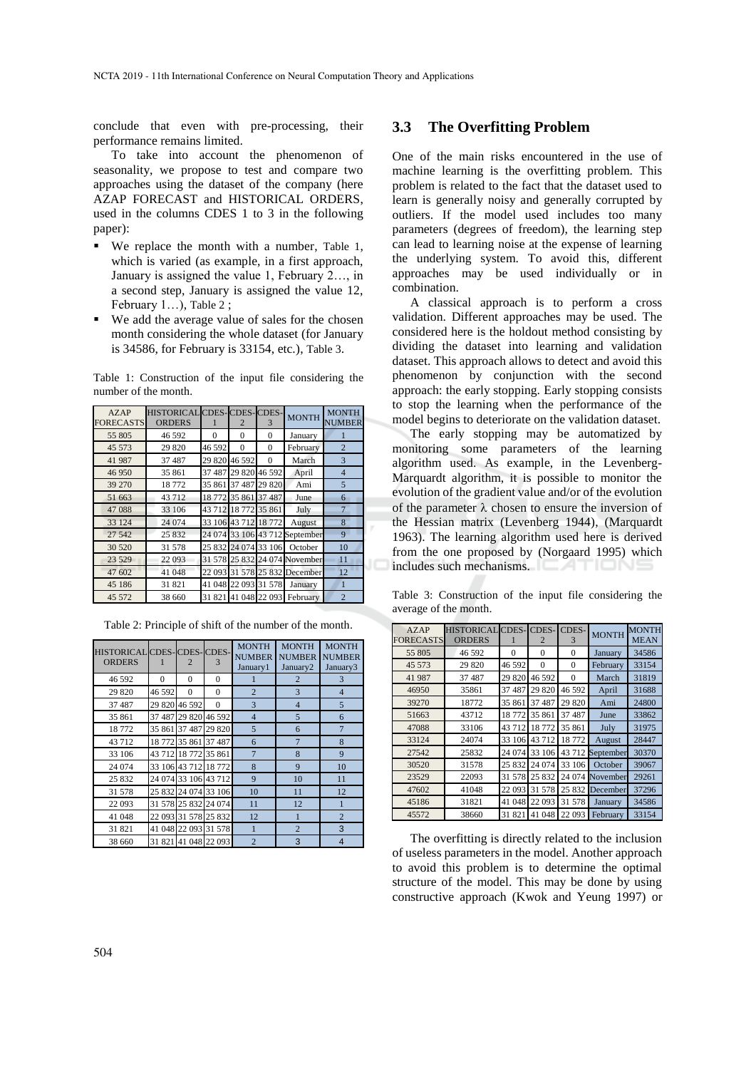conclude that even with pre-processing, their performance remains limited.

To take into account the phenomenon of seasonality, we propose to test and compare two approaches using the dataset of the company (here AZAP FORECAST and HISTORICAL ORDERS, used in the columns CDES 1 to 3 in the following paper):

- We replace the month with a number, Table 1, which is varied (as example, in a first approach, January is assigned the value 1, February 2…, in a second step, January is assigned the value 12, February 1…), Table 2 ;
- We add the average value of sales for the chosen month considering the whole dataset (for January is 34586, for February is 33154, etc.), Table 3.

Table 1: Construction of the input file considering the number of the month.

| AZAP<br><b>FORECASTS</b> | HISTORICAL CDES-CDES-CDES-<br><b>ORDERS</b> |          | 2                    | 3                    | <b>MONTH</b>                   | <b>MONTH</b><br><b>NUMBER</b> |
|--------------------------|---------------------------------------------|----------|----------------------|----------------------|--------------------------------|-------------------------------|
| 55 805                   | 46 592                                      | $\Omega$ | $\Omega$             | $\Omega$             | January                        |                               |
| 45 573                   | 29 820                                      | 46 592   | $\Omega$             | $\Omega$             | February                       | $\overline{2}$                |
| 41 987                   | 37 487                                      |          | 29 820 46 592        | $\Omega$             | March                          | 3                             |
| 46 950                   | 35 861                                      | 37487    |                      | 29 820 46 592        | April                          | $\overline{4}$                |
| 39 270                   | 18772                                       |          | 35 861 37 487        | 29 820               | Ami                            | $\overline{5}$                |
| 51 663                   | 43712                                       |          | 18 772 35 861 37 487 |                      | June                           | 6                             |
| 47088                    | 33 106                                      |          | 43 712 18 772 35 861 |                      | July                           | $\overline{7}$                |
| 33 124                   | 24 074                                      |          |                      | 33 106 43 712 18 772 | August                         | 8                             |
| 27 542                   | 25 832                                      |          |                      |                      | 24 074 33 106 43 712 September | 9                             |
| 30 5 20                  | 31 578                                      |          |                      |                      | 25 832 24 074 33 106 October   | 10                            |
| 23 5 29                  | 22 093                                      |          |                      |                      | 31 578 25 832 24 074 November  | 11                            |
| 47 602                   | 41 048                                      |          |                      |                      | 22 093 31 578 25 832 December  | 12                            |
| 45 186                   | 31821                                       |          |                      | 41 048 22 093 31 578 | January                        | 1                             |
| 45 572                   | 38 660                                      |          |                      |                      | 31 821 41 048 22 093 February  | $\overline{2}$                |

Table 2: Principle of shift of the number of the month.

| HISTORICAL CDES-CDES-CDES-<br><b>ORDERS</b> |          | $\overline{2}$       | 3                    | <b>MONTH</b><br><b>NUMBER</b><br>January1 | <b>MONTH</b><br><b>NUMBER</b><br>January <sub>2</sub> | <b>MONTH</b><br><b>NUMBER</b><br>January3 |
|---------------------------------------------|----------|----------------------|----------------------|-------------------------------------------|-------------------------------------------------------|-------------------------------------------|
| 46 592                                      | $\theta$ | $\theta$             | $\Omega$             |                                           | 2                                                     | 3                                         |
| 29 820                                      | 46 592   | $\theta$             | $\theta$             | $\overline{2}$                            | 3                                                     | $\overline{4}$                            |
| 37 487                                      |          | 29 820 46 592        | $\theta$             | 3                                         | $\overline{4}$                                        | 5                                         |
| 35 861                                      |          |                      | 37 487 29 820 46 592 | $\overline{4}$                            | 5                                                     | 6                                         |
| 18772                                       |          |                      | 35 861 37 487 29 820 | 5                                         | 6                                                     | $\overline{7}$                            |
| 43712                                       |          |                      | 18 772 35 861 37 487 | 6                                         | $\overline{7}$                                        | 8                                         |
| 33 106                                      |          | 43 712 18 772 35 861 |                      | $\overline{7}$                            | 8                                                     | 9                                         |
| 24 074                                      |          |                      | 33 106 43 712 18 772 | 8                                         | 9                                                     | 10                                        |
| 25 832                                      |          |                      | 24 074 33 106 43 712 | 9                                         | 10                                                    | 11                                        |
| 31 578                                      |          |                      | 25 832 24 074 33 106 | 10                                        | 11                                                    | 12                                        |
| 22 093                                      |          |                      | 31 578 25 832 24 074 | 11                                        | 12                                                    | 1                                         |
| 41 048                                      |          |                      | 22 093 31 578 25 832 | 12                                        | 1                                                     | $\overline{2}$                            |
| 31 821                                      |          |                      | 41 048 22 093 31 578 | 1                                         | $\overline{2}$                                        | 3                                         |
| 38 660                                      |          |                      | 31 821 41 048 22 093 | $\overline{2}$                            | 3                                                     | 4                                         |

#### **3.3 The Overfitting Problem**

One of the main risks encountered in the use of machine learning is the overfitting problem. This problem is related to the fact that the dataset used to learn is generally noisy and generally corrupted by outliers. If the model used includes too many parameters (degrees of freedom), the learning step can lead to learning noise at the expense of learning the underlying system. To avoid this, different approaches may be used individually or in combination.

A classical approach is to perform a cross validation. Different approaches may be used. The considered here is the holdout method consisting by dividing the dataset into learning and validation dataset. This approach allows to detect and avoid this phenomenon by conjunction with the second approach: the early stopping. Early stopping consists to stop the learning when the performance of the model begins to deteriorate on the validation dataset.

The early stopping may be automatized by monitoring some parameters of the learning algorithm used. As example, in the Levenberg-Marquardt algorithm, it is possible to monitor the evolution of the gradient value and/or of the evolution of the parameter  $\lambda$  chosen to ensure the inversion of the Hessian matrix (Levenberg 1944), (Marquardt 1963). The learning algorithm used here is derived from the one proposed by (Norgaard 1995) which includes such mechanisms.

Table 3: Construction of the input file considering the average of the month.

| AZAP<br><b>FORECASTS</b> | <b>HISTORICAL CDES- CDES-</b><br><b>ORDERS</b> |          | 2        | CDES-<br>3       | <b>MONTH</b>     | <b>MONTH</b><br><b>MEAN</b> |
|--------------------------|------------------------------------------------|----------|----------|------------------|------------------|-----------------------------|
| 55 805                   | 46 592                                         | $\Omega$ | 0        | 0                | January          | 34586                       |
| 45 573                   | 29 820                                         | 46 592   | $\Omega$ | $\boldsymbol{0}$ | February         | 33154                       |
| 41 987                   | 37 487                                         | 29 820   | 46 592   | $\Omega$         | March            | 31819                       |
| 46950                    | 35861                                          | 37 487   | 29 820   | 46 592           | April            | 31688                       |
| 39270                    | 18772                                          | 35 861   | 37 487   | 29 820           | Ami              | 24800                       |
| 51663                    | 43712                                          | 18772    | 35 861   | 37 487           | June             | 33862                       |
| 47088                    | 33106                                          | 43712    | 18772    | 35 861           | July             | 31975                       |
| 33124                    | 24074                                          | 33 106   | 43712    | 18772            | August           | 28447                       |
| 27542                    | 25832                                          | 24 074   | 33 106   |                  | 43 712 September | 30370                       |
| 30520                    | 31578                                          | 25 832   | 24 074   | 33 106           | October          | 39067                       |
| 23529                    | 22093                                          | 31 578   | 25 832   | 24 074           | November         | 29261                       |
| 47602                    | 41048                                          | 22 093   | 31 578   | 25 832           | December         | 37296                       |
| 45186                    | 31821                                          | 41 048   | 22 093   | 31 578           | January          | 34586                       |
| 45572                    | 38660                                          | 31 821   | 41 048   | 22 093           | February         | 33154                       |

The overfitting is directly related to the inclusion of useless parameters in the model. Another approach to avoid this problem is to determine the optimal structure of the model. This may be done by using constructive approach (Kwok and Yeung 1997) or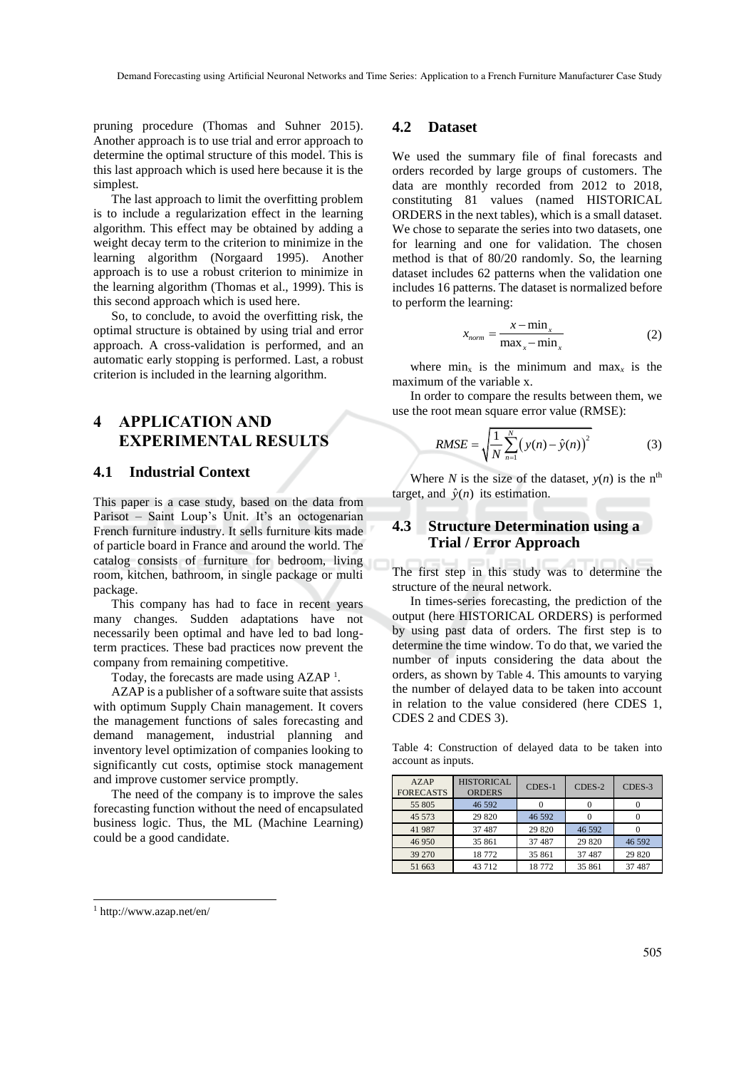pruning procedure (Thomas and Suhner 2015). Another approach is to use trial and error approach to determine the optimal structure of this model. This is this last approach which is used here because it is the simplest.

The last approach to limit the overfitting problem is to include a regularization effect in the learning algorithm. This effect may be obtained by adding a weight decay term to the criterion to minimize in the learning algorithm (Norgaard 1995). Another approach is to use a robust criterion to minimize in the learning algorithm (Thomas et al., 1999). This is this second approach which is used here.

So, to conclude, to avoid the overfitting risk, the optimal structure is obtained by using trial and error approach. A cross-validation is performed, and an automatic early stopping is performed. Last, a robust criterion is included in the learning algorithm.

# **4 APPLICATION AND EXPERIMENTAL RESULTS**

### **4.1 Industrial Context**

This paper is a case study, based on the data from Parisot – Saint Loup's Unit. It's an octogenarian French furniture industry. It sells furniture kits made of particle board in France and around the world. The catalog consists of furniture for bedroom, living room, kitchen, bathroom, in single package or multi package.

This company has had to face in recent years many changes. Sudden adaptations have not necessarily been optimal and have led to bad longterm practices. These bad practices now prevent the company from remaining competitive.

Today, the forecasts are made using AZAP<sup>1</sup>.

AZAP is a publisher of a software suite that assists with optimum Supply Chain management. It covers the management functions of sales forecasting and demand management, industrial planning and inventory level optimization of companies looking to significantly cut costs, optimise stock management and improve customer service promptly.

The need of the company is to improve the sales forecasting function without the need of encapsulated business logic. Thus, the ML (Machine Learning) could be a good candidate.

#### **4.2 Dataset**

We used the summary file of final forecasts and orders recorded by large groups of customers. The data are monthly recorded from 2012 to 2018, constituting 81 values (named HISTORICAL ORDERS in the next tables), which is a small dataset. We chose to separate the series into two datasets, one for learning and one for validation. The chosen method is that of 80/20 randomly. So, the learning dataset includes 62 patterns when the validation one includes 16 patterns. The dataset is normalized before to perform the learning:

$$
x_{norm} = \frac{x - \min_{x}}{\max_{x} - \min_{x}} \tag{2}
$$

where  $\min_{x}$  is the minimum and  $\max_{x}$  is the maximum of the variable x.

In order to compare the results between them, we use the root mean square error value (RMSE):

RMSE = 
$$
\sqrt{\frac{1}{N} \sum_{n=1}^{N} (y(n) - \hat{y}(n))^2}
$$
 (3)

Where *N* is the size of the dataset,  $y(n)$  is the n<sup>th</sup> target, and  $\hat{y}(n)$  its estimation.

### **4.3 Structure Determination using a Trial / Error Approach**

The first step in this study was to determine the structure of the neural network.

In times-series forecasting, the prediction of the output (here HISTORICAL ORDERS) is performed by using past data of orders. The first step is to determine the time window. To do that, we varied the number of inputs considering the data about the orders, as shown by Table 4. This amounts to varying the number of delayed data to be taken into account in relation to the value considered (here CDES 1, CDES 2 and CDES 3).

Table 4: Construction of delayed data to be taken into account as inputs.

| <b>AZAP</b><br><b>FORECASTS</b> | HISTORICAL<br><b>ORDERS</b> | CDES-1 | CDES-2  | CDES-3 |
|---------------------------------|-----------------------------|--------|---------|--------|
| 55 805                          | 46 592                      |        |         |        |
| 45 573                          | 29 8 20                     | 46 592 |         |        |
| 41 987                          | 37 487                      | 29 820 | 46 592  |        |
| 46 950                          | 35 861                      | 37 487 | 29 8 20 | 46 592 |
| 39 270                          | 18772                       | 35 861 | 37 487  | 29 820 |
| 51 663                          | 43712                       | 18772  | 35 861  | 37 487 |

 $\overline{a}$ 

<sup>1</sup> http://www.azap.net/en/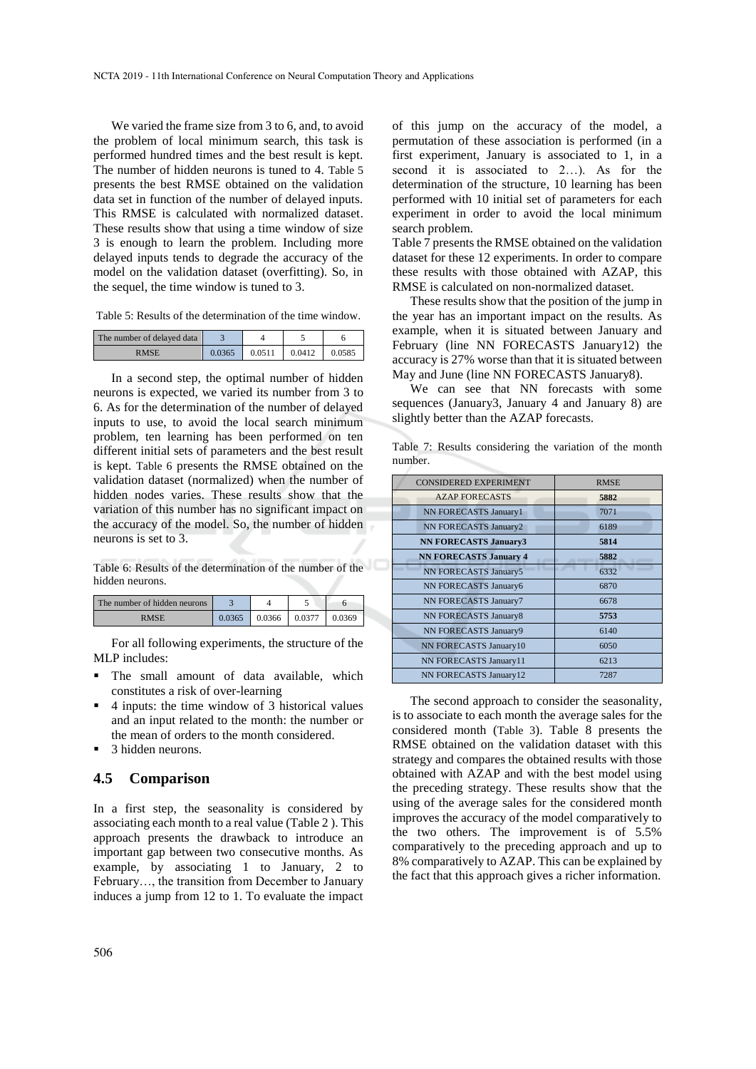We varied the frame size from 3 to 6, and, to avoid the problem of local minimum search, this task is performed hundred times and the best result is kept. The number of hidden neurons is tuned to 4. Table 5 presents the best RMSE obtained on the validation data set in function of the number of delayed inputs. This RMSE is calculated with normalized dataset. These results show that using a time window of size 3 is enough to learn the problem. Including more delayed inputs tends to degrade the accuracy of the model on the validation dataset (overfitting). So, in the sequel, the time window is tuned to 3.

Table 5: Results of the determination of the time window.

| The number of delayed data |        |        |        |        |
|----------------------------|--------|--------|--------|--------|
| <b>RMSE</b>                | 0.0365 | 0.0511 | 0.0412 | 0.0585 |

In a second step, the optimal number of hidden neurons is expected, we varied its number from 3 to 6. As for the determination of the number of delayed inputs to use, to avoid the local search minimum problem, ten learning has been performed on ten different initial sets of parameters and the best result is kept. Table 6 presents the RMSE obtained on the validation dataset (normalized) when the number of hidden nodes varies. These results show that the variation of this number has no significant impact on the accuracy of the model. So, the number of hidden neurons is set to 3.

Table 6: Results of the determination of the number of the hidden neurons.

| The number of hidden neurons |        |        |       |  |
|------------------------------|--------|--------|-------|--|
| RMSE                         | 0.0366 | 0.0377 | .0369 |  |

For all following experiments, the structure of the MLP includes:

- The small amount of data available, which constitutes a risk of over-learning
- 4 inputs: the time window of 3 historical values and an input related to the month: the number or the mean of orders to the month considered.
- 3 hidden neurons.

#### **4.5 Comparison**

In a first step, the seasonality is considered by associating each month to a real value (Table 2 ). This approach presents the drawback to introduce an important gap between two consecutive months. As example, by associating 1 to January, 2 to February…, the transition from December to January induces a jump from 12 to 1. To evaluate the impact of this jump on the accuracy of the model, a permutation of these association is performed (in a first experiment, January is associated to 1, in a second it is associated to 2...). As for the determination of the structure, 10 learning has been performed with 10 initial set of parameters for each experiment in order to avoid the local minimum search problem.

Table 7 presents the RMSE obtained on the validation dataset for these 12 experiments. In order to compare these results with those obtained with AZAP, this RMSE is calculated on non-normalized dataset.

These results show that the position of the jump in the year has an important impact on the results. As example, when it is situated between January and February (line NN FORECASTS January12) the accuracy is 27% worse than that it is situated between May and June (line NN FORECASTS January8).

We can see that NN forecasts with some sequences (January3, January 4 and January 8) are slightly better than the AZAP forecasts.

| <b>CONSIDERED EXPERIMENT</b>  | <b>RMSE</b> |
|-------------------------------|-------------|
| <b>AZAP FORECASTS</b>         | 5882        |
| NN FORECASTS January1         | 7071        |
| NN FORECASTS January2         | 6189        |
| <b>NN FORECASTS January3</b>  | 5814        |
| <b>NN FORECASTS January 4</b> | 5882        |
| <b>NN FORECASTS January5</b>  | 6332        |
| NN FORECASTS January6         | 6870        |
| NN FORECASTS January7         | 6678        |
| NN FORECASTS January8         | 5753        |
| NN FORECASTS January9         | 6140        |
| NN FORECASTS January10        | 6050        |
| NN FORECASTS January11        | 6213        |
| NN FORECASTS January12        | 7287        |

Table 7: Results considering the variation of the month number.

The second approach to consider the seasonality, is to associate to each month the average sales for the considered month (Table 3). Table 8 presents the RMSE obtained on the validation dataset with this strategy and compares the obtained results with those obtained with AZAP and with the best model using the preceding strategy. These results show that the using of the average sales for the considered month improves the accuracy of the model comparatively to the two others. The improvement is of 5.5% comparatively to the preceding approach and up to 8% comparatively to AZAP. This can be explained by the fact that this approach gives a richer information.